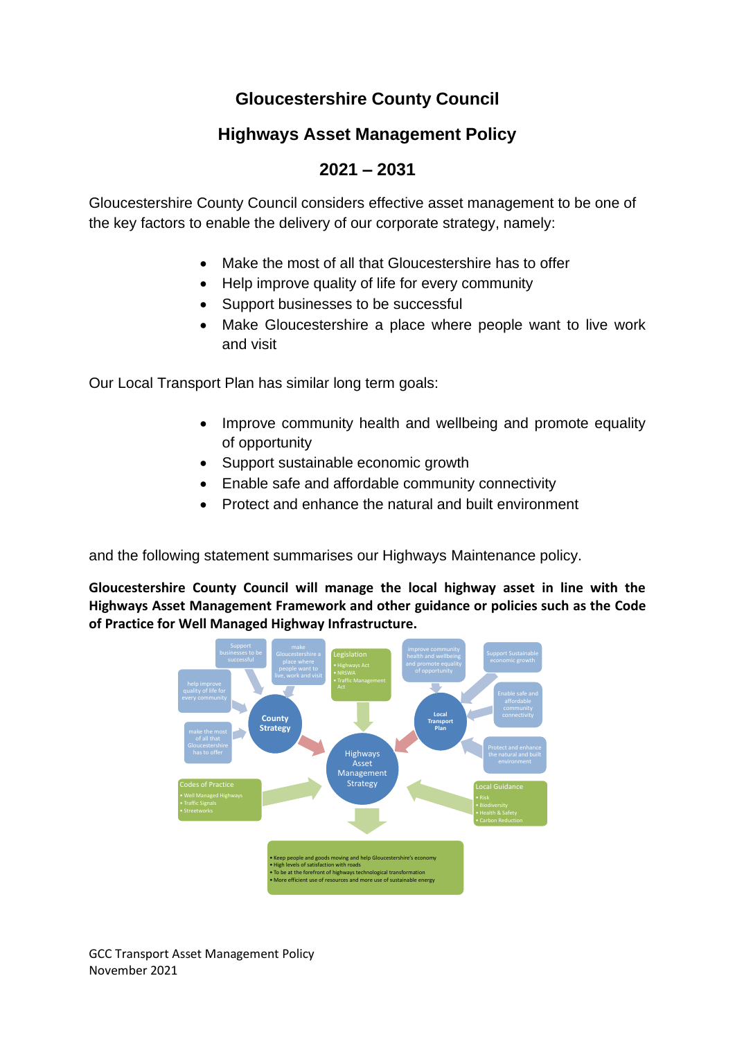# **Gloucestershire County Council**

# **Highways Asset Management Policy**

# **2021 – 2031**

Gloucestershire County Council considers effective asset management to be one of the key factors to enable the delivery of our corporate strategy, namely:

- Make the most of all that Gloucestershire has to offer
- Help improve quality of life for every community
- Support businesses to be successful
- Make Gloucestershire a place where people want to live work and visit

Our Local Transport Plan has similar long term goals:

- Improve community health and wellbeing and promote equality of opportunity
- Support sustainable economic growth
- Enable safe and affordable community connectivity
- Protect and enhance the natural and built environment

and the following statement summarises our Highways Maintenance policy.

**Gloucestershire County Council will manage the local highway asset in line with the Highways Asset Management Framework and other guidance or policies such as the Code of Practice for Well Managed Highway Infrastructure.**